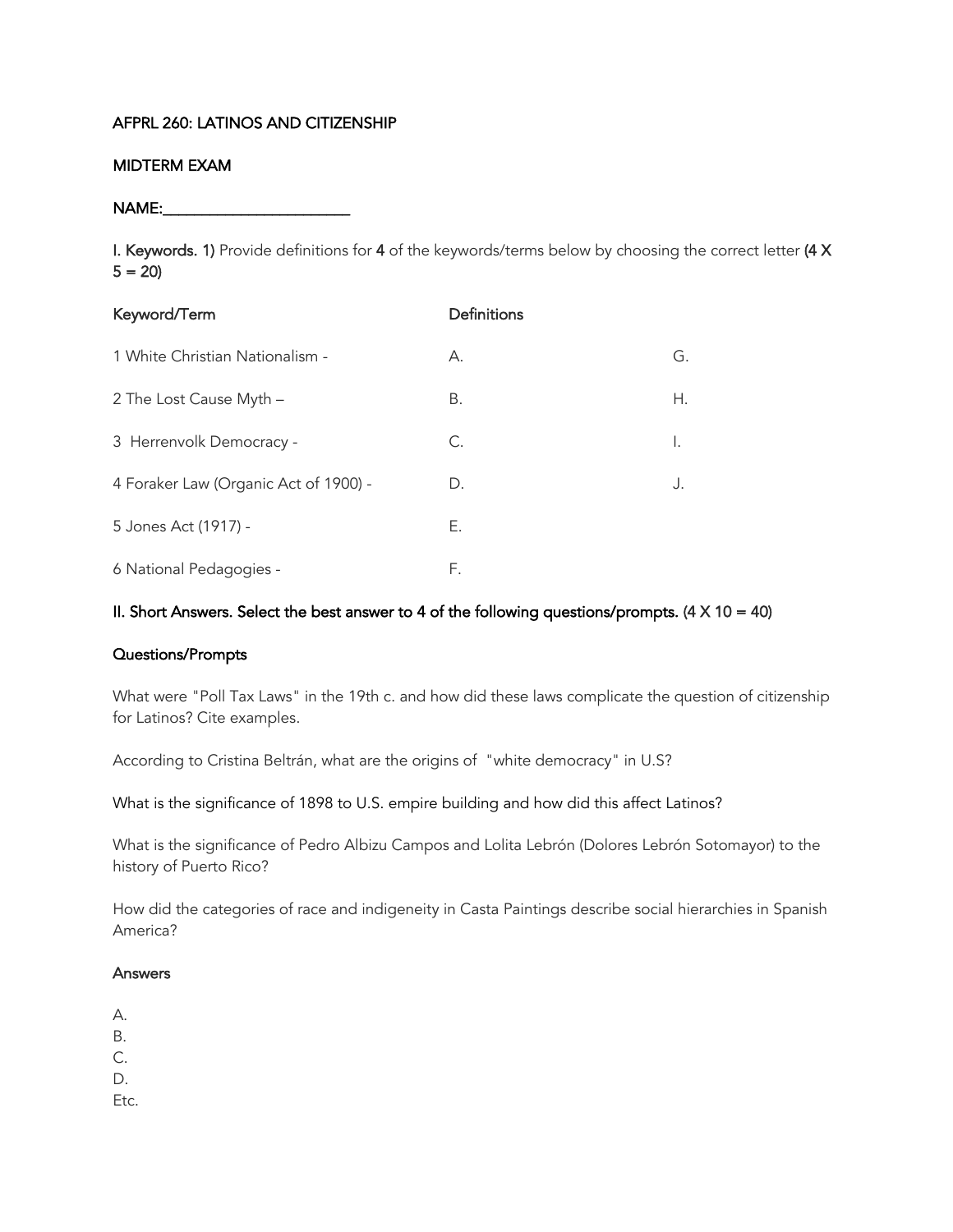## AFPRL 260: LATINOS AND CITIZENSHIP

### MIDTERM EXAM

NAME:

I. Keywords. 1) Provide definitions for 4 of the keywords/terms below by choosing the correct letter (4 X  $5 = 20$ 

| Keyword/Term                          | Definitions |    |
|---------------------------------------|-------------|----|
| 1 White Christian Nationalism -       | А.          | G. |
| 2 The Lost Cause Myth -               | В.          | Н. |
| 3 Herrenvolk Democracy -              | C.          | Ι. |
| 4 Foraker Law (Organic Act of 1900) - | D.          | J. |
| 5 Jones Act (1917) -                  | Е.          |    |
| 6 National Pedagogies -               | F.          |    |

### II. Short Answers. Select the best answer to 4 of the following questions/prompts.  $(4 \times 10 = 40)$

#### Questions/Prompts

What were "Poll Tax Laws" in the 19th c. and how did these laws complicate the question of citizenship for Latinos? Cite examples.

According to Cristina Beltrán, what are the origins of "white democracy" in U.S?

What is the significance of 1898 to U.S. empire building and how did this affect Latinos?

What is the significance of Pedro Albizu Campos and Lolita Lebrón (Dolores Lebrón Sotomayor) to the history of Puerto Rico?

How did the categories of race and indigeneity in Casta Paintings describe social hierarchies in Spanish America?

#### Answers

- A.
- B.
- $\mathcal{C}$
- D.
- Etc.